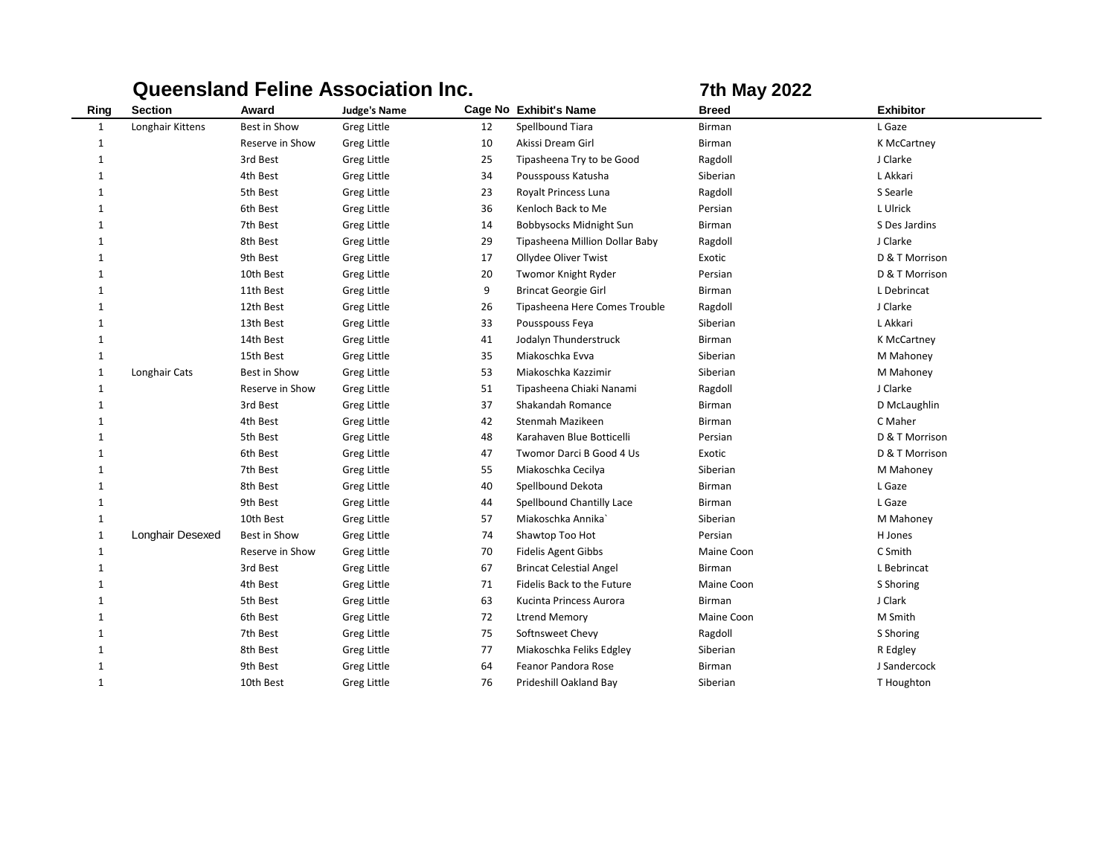|              |                  |                 | <b>Queensland Feline Association Inc.</b> | <b>7th May 2022</b> |                                |              |                  |
|--------------|------------------|-----------------|-------------------------------------------|---------------------|--------------------------------|--------------|------------------|
| Ring         | <b>Section</b>   | Award           | <b>Judge's Name</b>                       |                     | Cage No Exhibit's Name         | <b>Breed</b> | <b>Exhibitor</b> |
| $\mathbf{1}$ | Longhair Kittens | Best in Show    | Greg Little                               | 12                  | Spellbound Tiara               | Birman       | L Gaze           |
| $\mathbf{1}$ |                  | Reserve in Show | Greg Little                               | 10                  | Akissi Dream Girl              | Birman       | K McCartney      |
| 1            |                  | 3rd Best        | Greg Little                               | 25                  | Tipasheena Try to be Good      | Ragdoll      | J Clarke         |
| 1            |                  | 4th Best        | Greg Little                               | 34                  | Pousspouss Katusha             | Siberian     | L Akkari         |
| 1            |                  | 5th Best        | Greg Little                               | 23                  | Royalt Princess Luna           | Ragdoll      | S Searle         |
| 1            |                  | 6th Best        | Greg Little                               | 36                  | Kenloch Back to Me             | Persian      | L Ulrick         |
| 1            |                  | 7th Best        | Greg Little                               | 14                  | Bobbysocks Midnight Sun        | Birman       | S Des Jardins    |
| 1            |                  | 8th Best        | Greg Little                               | 29                  | Tipasheena Million Dollar Baby | Ragdoll      | J Clarke         |
| 1            |                  | 9th Best        | Greg Little                               | 17                  | Ollydee Oliver Twist           | Exotic       | D & T Morrison   |
| $\mathbf{1}$ |                  | 10th Best       | Greg Little                               | 20                  | Twomor Knight Ryder            | Persian      | D & T Morrison   |
| $\mathbf{1}$ |                  | 11th Best       | Greg Little                               | 9                   | <b>Brincat Georgie Girl</b>    | Birman       | L Debrincat      |
| $\mathbf{1}$ |                  | 12th Best       | Greg Little                               | 26                  | Tipasheena Here Comes Trouble  | Ragdoll      | J Clarke         |
| $\mathbf{1}$ |                  | 13th Best       | Greg Little                               | 33                  | Pousspouss Feya                | Siberian     | L Akkari         |
| $\mathbf{1}$ |                  | 14th Best       | Greg Little                               | 41                  | Jodalyn Thunderstruck          | Birman       | K McCartney      |
| $\mathbf{1}$ |                  | 15th Best       | Greg Little                               | 35                  | Miakoschka Evva                | Siberian     | M Mahoney        |
| $\mathbf{1}$ | Longhair Cats    | Best in Show    | Greg Little                               | 53                  | Miakoschka Kazzimir            | Siberian     | M Mahoney        |
| $\mathbf{1}$ |                  | Reserve in Show | Greg Little                               | 51                  | Tipasheena Chiaki Nanami       | Ragdoll      | J Clarke         |
| $\mathbf{1}$ |                  | 3rd Best        | <b>Greg Little</b>                        | 37                  | Shakandah Romance              | Birman       | D McLaughlin     |
| $\mathbf{1}$ |                  | 4th Best        | Greg Little                               | 42                  | Stenmah Mazikeen               | Birman       | C Maher          |
| $\mathbf{1}$ |                  | 5th Best        | <b>Greg Little</b>                        | 48                  | Karahaven Blue Botticelli      | Persian      | D & T Morrison   |
| $\mathbf{1}$ |                  | 6th Best        | <b>Greg Little</b>                        | 47                  | Twomor Darci B Good 4 Us       | Exotic       | D & T Morrison   |
| $\mathbf{1}$ |                  | 7th Best        | <b>Greg Little</b>                        | 55                  | Miakoschka Cecilya             | Siberian     | M Mahoney        |
| $\mathbf{1}$ |                  | 8th Best        | <b>Greg Little</b>                        | 40                  | Spellbound Dekota              | Birman       | L Gaze           |
| $\mathbf{1}$ |                  | 9th Best        | <b>Greg Little</b>                        | 44                  | Spellbound Chantilly Lace      | Birman       | L Gaze           |
| $\mathbf{1}$ |                  | 10th Best       | <b>Greg Little</b>                        | 57                  | Miakoschka Annika              | Siberian     | M Mahoney        |
| $\mathbf{1}$ | Longhair Desexed | Best in Show    | <b>Greg Little</b>                        | 74                  | Shawtop Too Hot                | Persian      | H Jones          |
| $\mathbf{1}$ |                  | Reserve in Show | <b>Greg Little</b>                        | 70                  | <b>Fidelis Agent Gibbs</b>     | Maine Coon   | C Smith          |
| $\mathbf 1$  |                  | 3rd Best        | Greg Little                               | 67                  | <b>Brincat Celestial Angel</b> | Birman       | L Bebrincat      |
| $\mathbf 1$  |                  | 4th Best        | Greg Little                               | 71                  | Fidelis Back to the Future     | Maine Coon   | S Shoring        |
| $\mathbf 1$  |                  | 5th Best        | Greg Little                               | 63                  | Kucinta Princess Aurora        | Birman       | J Clark          |
| $\mathbf 1$  |                  | 6th Best        | Greg Little                               | 72                  | <b>Ltrend Memory</b>           | Maine Coon   | M Smith          |
| $\mathbf 1$  |                  | 7th Best        | Greg Little                               | 75                  | Softnsweet Chevy               | Ragdoll      | S Shoring        |
| $\mathbf 1$  |                  | 8th Best        | Greg Little                               | 77                  | Miakoschka Feliks Edgley       | Siberian     | R Edgley         |
| $\mathbf 1$  |                  | 9th Best        | Greg Little                               | 64                  | <b>Feanor Pandora Rose</b>     | Birman       | J Sandercock     |
| $\mathbf 1$  |                  | 10th Best       | Greg Little                               | 76                  | Prideshill Oakland Bay         | Siberian     | T Houghton       |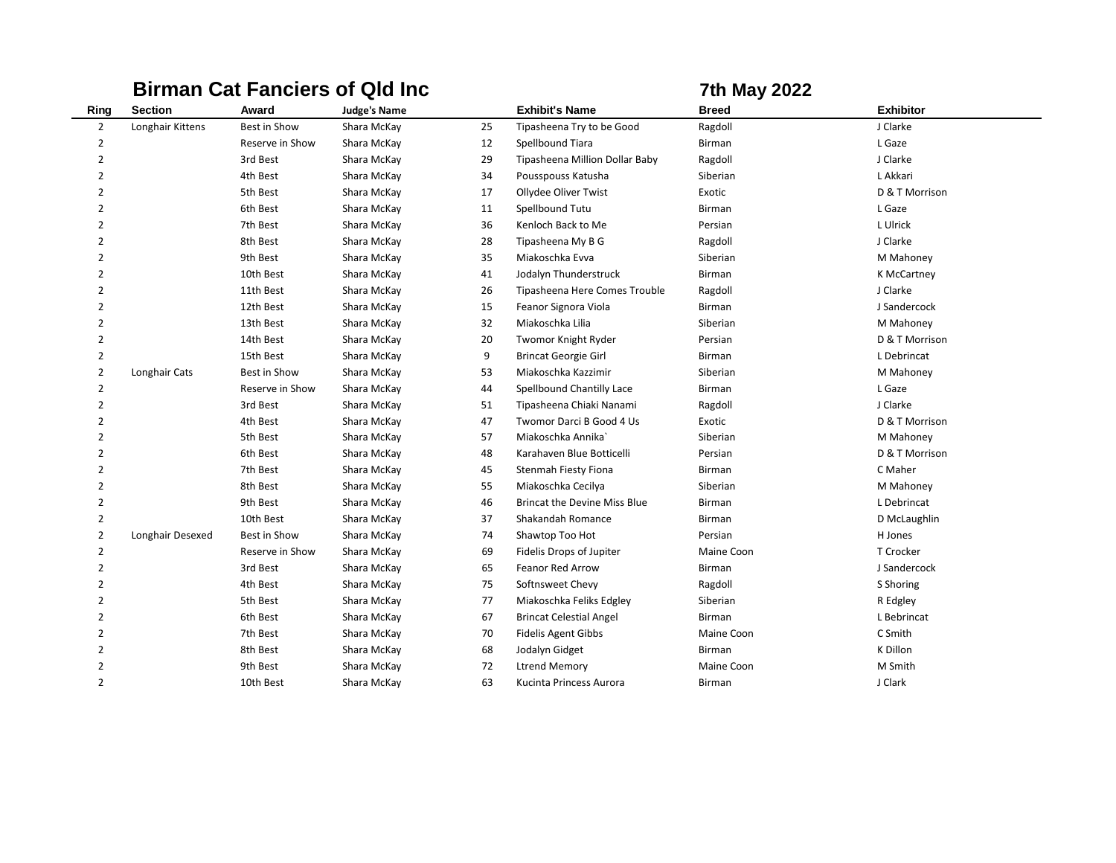|                |                  |                 | <b>Birman Cat Fanciers of Qld Inc</b> |    |                                     | <b>7th May 2022</b> |                  |
|----------------|------------------|-----------------|---------------------------------------|----|-------------------------------------|---------------------|------------------|
| Ring           | <b>Section</b>   | Award           | <b>Judge's Name</b>                   |    | <b>Exhibit's Name</b>               | <b>Breed</b>        | <b>Exhibitor</b> |
| $\overline{2}$ | Longhair Kittens | Best in Show    | Shara McKay                           | 25 | Tipasheena Try to be Good           | Ragdoll             | J Clarke         |
| $\overline{2}$ |                  | Reserve in Show | Shara McKay                           | 12 | Spellbound Tiara                    | <b>Birman</b>       | L Gaze           |
| $\overline{2}$ |                  | 3rd Best        | Shara McKay                           | 29 | Tipasheena Million Dollar Baby      | Ragdoll             | J Clarke         |
| $\overline{2}$ |                  | 4th Best        | Shara McKay                           | 34 | Pousspouss Katusha                  | Siberian            | L Akkari         |
| $\overline{2}$ |                  | 5th Best        | Shara McKay                           | 17 | Ollydee Oliver Twist                | Exotic              | D & T Morrison   |
| $\overline{2}$ |                  | 6th Best        | Shara McKay                           | 11 | Spellbound Tutu                     | <b>Birman</b>       | L Gaze           |
| $\overline{2}$ |                  | 7th Best        | Shara McKay                           | 36 | Kenloch Back to Me                  | Persian             | L Ulrick         |
| $\overline{2}$ |                  | 8th Best        | Shara McKay                           | 28 | Tipasheena My B G                   | Ragdoll             | J Clarke         |
| $\overline{2}$ |                  | 9th Best        | Shara McKay                           | 35 | Miakoschka Evva                     | Siberian            | M Mahoney        |
| $\overline{2}$ |                  | 10th Best       | Shara McKay                           | 41 | Jodalyn Thunderstruck               | <b>Birman</b>       | K McCartney      |
| $\overline{2}$ |                  | 11th Best       | Shara McKay                           | 26 | Tipasheena Here Comes Trouble       | Ragdoll             | J Clarke         |
| $\overline{2}$ |                  | 12th Best       | Shara McKay                           | 15 | Feanor Signora Viola                | <b>Birman</b>       | J Sandercock     |
| $\overline{2}$ |                  | 13th Best       | Shara McKay                           | 32 | Miakoschka Lilia                    | Siberian            | M Mahoney        |
| $\overline{2}$ |                  | 14th Best       | Shara McKay                           | 20 | Twomor Knight Ryder                 | Persian             | D & T Morrison   |
| $\overline{2}$ |                  | 15th Best       | Shara McKay                           | 9  | <b>Brincat Georgie Girl</b>         | Birman              | L Debrincat      |
| $\overline{2}$ | Longhair Cats    | Best in Show    | Shara McKay                           | 53 | Miakoschka Kazzimir                 | Siberian            | M Mahoney        |
| 2              |                  | Reserve in Show | Shara McKay                           | 44 | Spellbound Chantilly Lace           | Birman              | L Gaze           |
| $\overline{2}$ |                  | 3rd Best        | Shara McKay                           | 51 | Tipasheena Chiaki Nanami            | Ragdoll             | J Clarke         |
| $\overline{2}$ |                  | 4th Best        | Shara McKay                           | 47 | Twomor Darci B Good 4 Us            | Exotic              | D & T Morrison   |
| 2              |                  | 5th Best        | Shara McKay                           | 57 | Miakoschka Annika                   | Siberian            | M Mahoney        |
| $\overline{2}$ |                  | 6th Best        | Shara McKay                           | 48 | Karahaven Blue Botticelli           | Persian             | D & T Morrison   |
| $\overline{2}$ |                  | 7th Best        | Shara McKay                           | 45 | Stenmah Fiesty Fiona                | Birman              | C Maher          |
| $\overline{2}$ |                  | 8th Best        | Shara McKay                           | 55 | Miakoschka Cecilya                  | Siberian            | M Mahoney        |
| $\overline{2}$ |                  | 9th Best        | Shara McKay                           | 46 | <b>Brincat the Devine Miss Blue</b> | Birman              | L Debrincat      |
| $\overline{2}$ |                  | 10th Best       | Shara McKay                           | 37 | Shakandah Romance                   | Birman              | D McLaughlin     |
| $\overline{2}$ | Longhair Desexed | Best in Show    | Shara McKay                           | 74 | Shawtop Too Hot                     | Persian             | H Jones          |
| 2              |                  | Reserve in Show | Shara McKay                           | 69 | Fidelis Drops of Jupiter            | Maine Coon          | T Crocker        |
| $\overline{2}$ |                  | 3rd Best        | Shara McKay                           | 65 | Feanor Red Arrow                    | <b>Birman</b>       | J Sandercock     |
| $\overline{2}$ |                  | 4th Best        | Shara McKay                           | 75 | Softnsweet Chevy                    | Ragdoll             | S Shoring        |
| $\overline{2}$ |                  | 5th Best        | Shara McKay                           | 77 | Miakoschka Feliks Edgley            | Siberian            | R Edgley         |
| $\overline{2}$ |                  | 6th Best        | Shara McKay                           | 67 | <b>Brincat Celestial Angel</b>      | Birman              | L Bebrincat      |
| $\overline{2}$ |                  | 7th Best        | Shara McKay                           | 70 | <b>Fidelis Agent Gibbs</b>          | Maine Coon          | C Smith          |
| $\overline{2}$ |                  | 8th Best        | Shara McKay                           | 68 | Jodalyn Gidget                      | <b>Birman</b>       | K Dillon         |
| $\overline{2}$ |                  | 9th Best        | Shara McKay                           | 72 | <b>Ltrend Memory</b>                | Maine Coon          | M Smith          |
| $\overline{2}$ |                  | 10th Best       | Shara McKay                           | 63 | Kucinta Princess Aurora             | <b>Birman</b>       | J Clark          |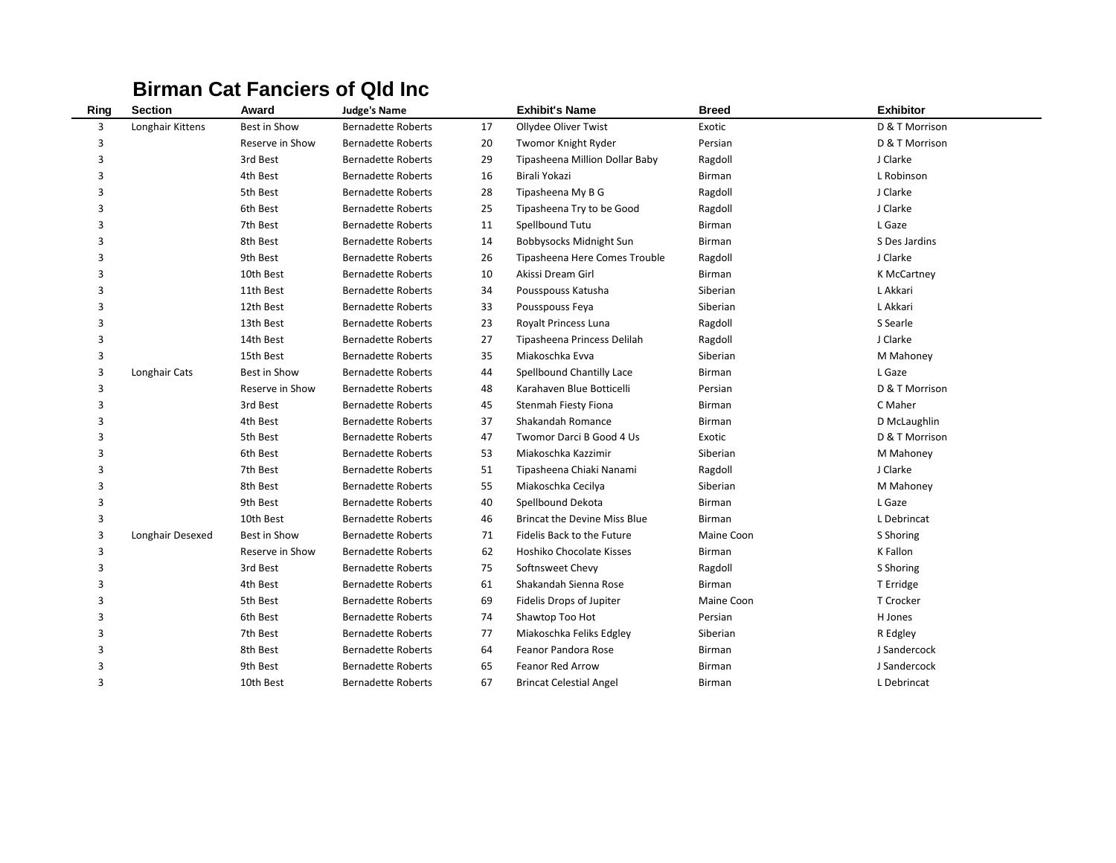### **Birman Cat Fanciers of Qld Inc**

| Ring | <b>Section</b>   | Award           | <b>Judge's Name</b>       |    | <b>Exhibit's Name</b>          | <b>Breed</b>  | <b>Exhibitor</b> |
|------|------------------|-----------------|---------------------------|----|--------------------------------|---------------|------------------|
| 3    | Longhair Kittens | Best in Show    | <b>Bernadette Roberts</b> | 17 | Ollydee Oliver Twist           | Exotic        | D & T Morrison   |
| 3    |                  | Reserve in Show | <b>Bernadette Roberts</b> | 20 | Twomor Knight Ryder            | Persian       | D & T Morrison   |
| 3    |                  | 3rd Best        | <b>Bernadette Roberts</b> | 29 | Tipasheena Million Dollar Baby | Ragdoll       | J Clarke         |
| 3    |                  | 4th Best        | <b>Bernadette Roberts</b> | 16 | Birali Yokazi                  | <b>Birman</b> | L Robinson       |
| 3    |                  | 5th Best        | <b>Bernadette Roberts</b> | 28 | Tipasheena My B G              | Ragdoll       | J Clarke         |
| 3    |                  | 6th Best        | <b>Bernadette Roberts</b> | 25 | Tipasheena Try to be Good      | Ragdoll       | J Clarke         |
| 3    |                  | 7th Best        | <b>Bernadette Roberts</b> | 11 | Spellbound Tutu                | <b>Birman</b> | L Gaze           |
| 3    |                  | 8th Best        | <b>Bernadette Roberts</b> | 14 | Bobbysocks Midnight Sun        | <b>Birman</b> | S Des Jardins    |
| 3    |                  | 9th Best        | <b>Bernadette Roberts</b> | 26 | Tipasheena Here Comes Trouble  | Ragdoll       | J Clarke         |
| 3    |                  | 10th Best       | <b>Bernadette Roberts</b> | 10 | Akissi Dream Girl              | Birman        | K McCartney      |
| 3    |                  | 11th Best       | <b>Bernadette Roberts</b> | 34 | Pousspouss Katusha             | Siberian      | L Akkari         |
| 3    |                  | 12th Best       | <b>Bernadette Roberts</b> | 33 | Pousspouss Feya                | Siberian      | L Akkari         |
| 3    |                  | 13th Best       | <b>Bernadette Roberts</b> | 23 | Royalt Princess Luna           | Ragdoll       | S Searle         |
| 3    |                  | 14th Best       | <b>Bernadette Roberts</b> | 27 | Tipasheena Princess Delilah    | Ragdoll       | J Clarke         |
| 3    |                  | 15th Best       | <b>Bernadette Roberts</b> | 35 | Miakoschka Evva                | Siberian      | M Mahoney        |
| 3    | Longhair Cats    | Best in Show    | <b>Bernadette Roberts</b> | 44 | Spellbound Chantilly Lace      | Birman        | L Gaze           |
| 3    |                  | Reserve in Show | <b>Bernadette Roberts</b> | 48 | Karahaven Blue Botticelli      | Persian       | D & T Morrison   |
| 3    |                  | 3rd Best        | <b>Bernadette Roberts</b> | 45 | <b>Stenmah Fiesty Fiona</b>    | <b>Birman</b> | C Maher          |
| 3    |                  | 4th Best        | <b>Bernadette Roberts</b> | 37 | Shakandah Romance              | Birman        | D McLaughlin     |
| 3    |                  | 5th Best        | <b>Bernadette Roberts</b> | 47 | Twomor Darci B Good 4 Us       | Exotic        | D & T Morrison   |
| 3    |                  | 6th Best        | <b>Bernadette Roberts</b> | 53 | Miakoschka Kazzimir            | Siberian      | M Mahoney        |
| 3    |                  | 7th Best        | <b>Bernadette Roberts</b> | 51 | Tipasheena Chiaki Nanami       | Ragdoll       | J Clarke         |
| 3    |                  | 8th Best        | <b>Bernadette Roberts</b> | 55 | Miakoschka Cecilya             | Siberian      | M Mahoney        |
| 3    |                  | 9th Best        | <b>Bernadette Roberts</b> | 40 | Spellbound Dekota              | <b>Birman</b> | L Gaze           |
| 3    |                  | 10th Best       | <b>Bernadette Roberts</b> | 46 | Brincat the Devine Miss Blue   | Birman        | L Debrincat      |
| 3    | Longhair Desexed | Best in Show    | <b>Bernadette Roberts</b> | 71 | Fidelis Back to the Future     | Maine Coon    | S Shoring        |
| 3    |                  | Reserve in Show | <b>Bernadette Roberts</b> | 62 | Hoshiko Chocolate Kisses       | Birman        | K Fallon         |
| 3    |                  | 3rd Best        | <b>Bernadette Roberts</b> | 75 | Softnsweet Chevy               | Ragdoll       | S Shoring        |
| 3    |                  | 4th Best        | <b>Bernadette Roberts</b> | 61 | Shakandah Sienna Rose          | <b>Birman</b> | T Erridge        |
| 3    |                  | 5th Best        | <b>Bernadette Roberts</b> | 69 | Fidelis Drops of Jupiter       | Maine Coon    | T Crocker        |
| 3    |                  | 6th Best        | <b>Bernadette Roberts</b> | 74 | Shawtop Too Hot                | Persian       | H Jones          |
| 3    |                  | 7th Best        | <b>Bernadette Roberts</b> | 77 | Miakoschka Feliks Edgley       | Siberian      | R Edgley         |
| 3    |                  | 8th Best        | <b>Bernadette Roberts</b> | 64 | Feanor Pandora Rose            | Birman        | J Sandercock     |
| 3    |                  | 9th Best        | <b>Bernadette Roberts</b> | 65 | Feanor Red Arrow               | Birman        | J Sandercock     |
| 3    |                  | 10th Best       | <b>Bernadette Roberts</b> | 67 | <b>Brincat Celestial Angel</b> | Birman        | L Debrincat      |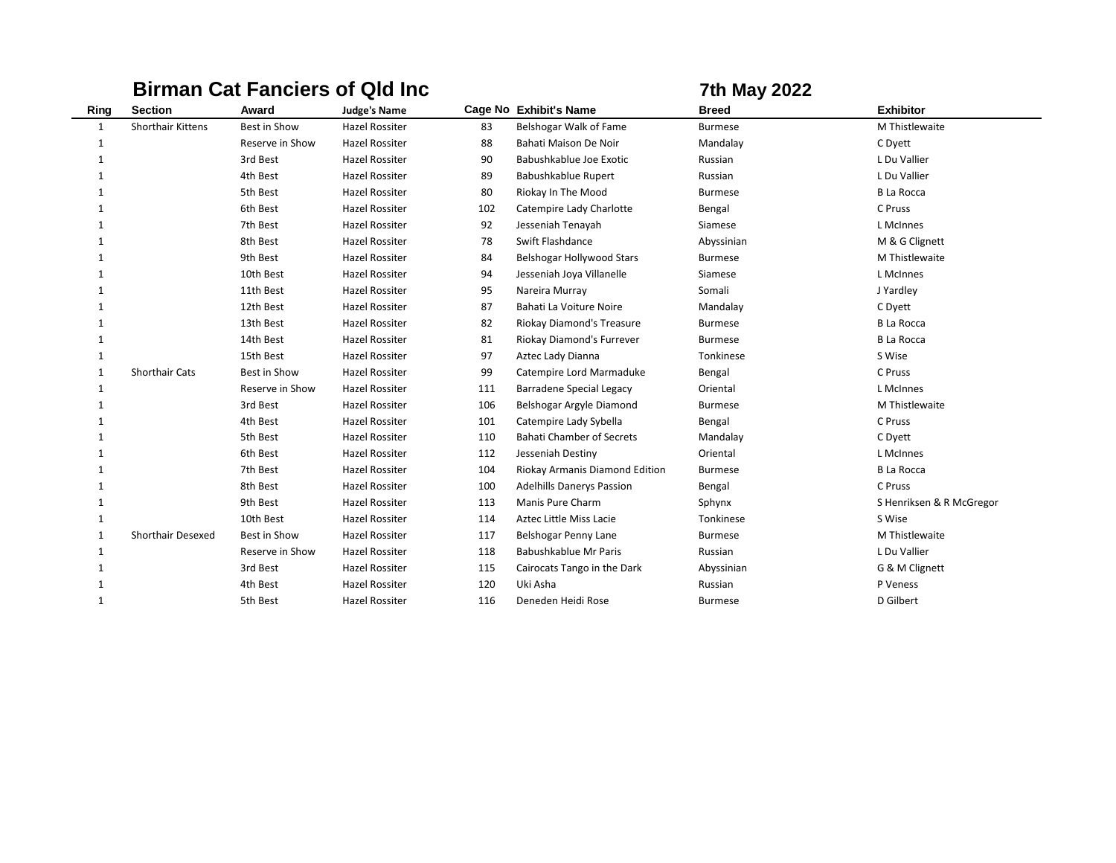|              |                          |                     | <b>Birman Cat Fanciers of Qld Inc.</b> |     |                                  | <b>7th May 2022</b> |                          |
|--------------|--------------------------|---------------------|----------------------------------------|-----|----------------------------------|---------------------|--------------------------|
| Ring         | <b>Section</b>           | Award               | <b>Judge's Name</b>                    |     | Cage No Exhibit's Name           | <b>Breed</b>        | <b>Exhibitor</b>         |
| 1            | <b>Shorthair Kittens</b> | <b>Best in Show</b> | <b>Hazel Rossiter</b>                  | 83  | Belshogar Walk of Fame           | <b>Burmese</b>      | M Thistlewaite           |
| 1            |                          | Reserve in Show     | <b>Hazel Rossiter</b>                  | 88  | Bahati Maison De Noir            | Mandalay            | C Dyett                  |
| 1            |                          | 3rd Best            | <b>Hazel Rossiter</b>                  | 90  | Babushkablue Joe Exotic          | Russian             | L Du Vallier             |
| -1           |                          | 4th Best            | <b>Hazel Rossiter</b>                  | 89  | Babushkablue Rupert              | Russian             | L Du Vallier             |
| $\mathbf{1}$ |                          | 5th Best            | Hazel Rossiter                         | 80  | Riokay In The Mood               | <b>Burmese</b>      | <b>B La Rocca</b>        |
| 1            |                          | 6th Best            | <b>Hazel Rossiter</b>                  | 102 | Catempire Lady Charlotte         | Bengal              | C Pruss                  |
| -1           |                          | 7th Best            | <b>Hazel Rossiter</b>                  | 92  | Jesseniah Tenayah                | Siamese             | L McInnes                |
| $\mathbf{1}$ |                          | 8th Best            | <b>Hazel Rossiter</b>                  | 78  | Swift Flashdance                 | Abyssinian          | M & G Clignett           |
| -1           |                          | 9th Best            | Hazel Rossiter                         | 84  | Belshogar Hollywood Stars        | <b>Burmese</b>      | M Thistlewaite           |
| 1            |                          | 10th Best           | <b>Hazel Rossiter</b>                  | 94  | Jesseniah Joya Villanelle        | Siamese             | L McInnes                |
| -1           |                          | 11th Best           | <b>Hazel Rossiter</b>                  | 95  | Nareira Murray                   | Somali              | J Yardley                |
| 1            |                          | 12th Best           | Hazel Rossiter                         | 87  | Bahati La Voiture Noire          | Mandalay            | C Dyett                  |
| $\mathbf{1}$ |                          | 13th Best           | <b>Hazel Rossiter</b>                  | 82  | Riokay Diamond's Treasure        | <b>Burmese</b>      | <b>B La Rocca</b>        |
| 1            |                          | 14th Best           | <b>Hazel Rossiter</b>                  | 81  | Riokay Diamond's Furrever        | <b>Burmese</b>      | <b>B La Rocca</b>        |
| $\mathbf{1}$ |                          | 15th Best           | <b>Hazel Rossiter</b>                  | 97  | Aztec Lady Dianna                | Tonkinese           | S Wise                   |
| 1            | <b>Shorthair Cats</b>    | Best in Show        | <b>Hazel Rossiter</b>                  | 99  | Catempire Lord Marmaduke         | Bengal              | C Pruss                  |
| 1            |                          | Reserve in Show     | <b>Hazel Rossiter</b>                  | 111 | <b>Barradene Special Legacy</b>  | Oriental            | L McInnes                |
| -1           |                          | 3rd Best            | Hazel Rossiter                         | 106 | Belshogar Argyle Diamond         | <b>Burmese</b>      | M Thistlewaite           |
| -1           |                          | 4th Best            | <b>Hazel Rossiter</b>                  | 101 | Catempire Lady Sybella           | Bengal              | C Pruss                  |
| 1            |                          | 5th Best            | <b>Hazel Rossiter</b>                  | 110 | <b>Bahati Chamber of Secrets</b> | Mandalay            | C Dyett                  |
| 1            |                          | 6th Best            | <b>Hazel Rossiter</b>                  | 112 | Jesseniah Destiny                | Oriental            | L McInnes                |
| 1            |                          | 7th Best            | <b>Hazel Rossiter</b>                  | 104 | Riokay Armanis Diamond Edition   | <b>Burmese</b>      | <b>B La Rocca</b>        |
| $\mathbf{1}$ |                          | 8th Best            | <b>Hazel Rossiter</b>                  | 100 | <b>Adelhills Danerys Passion</b> | Bengal              | C Pruss                  |
| 1            |                          | 9th Best            | <b>Hazel Rossiter</b>                  | 113 | Manis Pure Charm                 | Sphynx              | S Henriksen & R McGregor |
| 1            |                          | 10th Best           | <b>Hazel Rossiter</b>                  | 114 | Aztec Little Miss Lacie          | Tonkinese           | S Wise                   |
| 1            | <b>Shorthair Desexed</b> | Best in Show        | <b>Hazel Rossiter</b>                  | 117 | Belshogar Penny Lane             | <b>Burmese</b>      | M Thistlewaite           |
| 1            |                          | Reserve in Show     | <b>Hazel Rossiter</b>                  | 118 | Babushkablue Mr Paris            | Russian             | L Du Vallier             |
| 1            |                          | 3rd Best            | Hazel Rossiter                         | 115 | Cairocats Tango in the Dark      | Abyssinian          | G & M Clignett           |
| $\mathbf{1}$ |                          | 4th Best            | <b>Hazel Rossiter</b>                  | 120 | Uki Asha                         | Russian             | P Veness                 |
| -1           |                          | 5th Best            | <b>Hazel Rossiter</b>                  | 116 | Deneden Heidi Rose               | <b>Burmese</b>      | D Gilbert                |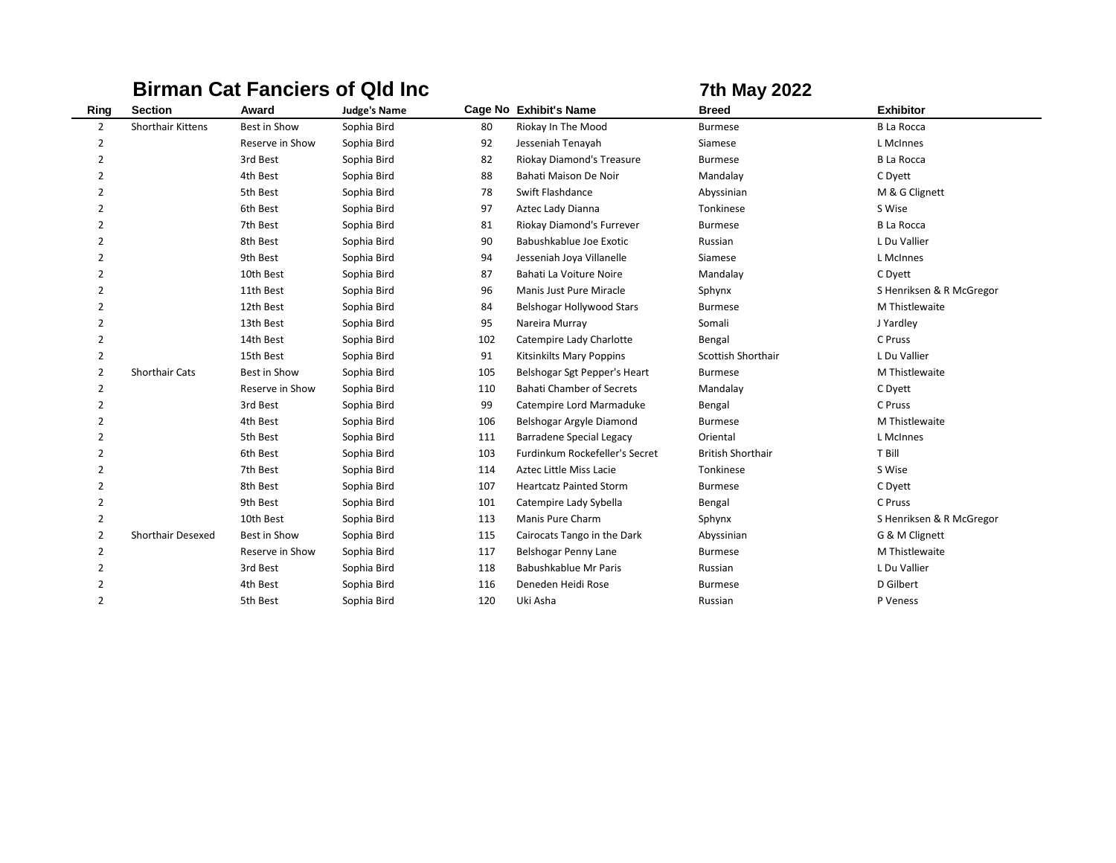|                |                          |                 | <b>Birman Cat Fanciers of Qld Inc.</b> |     |                                  | <b>7th May 2022</b>       |                          |
|----------------|--------------------------|-----------------|----------------------------------------|-----|----------------------------------|---------------------------|--------------------------|
| Ring           | <b>Section</b>           | Award           | <b>Judge's Name</b>                    |     | Cage No Exhibit's Name           | <b>Breed</b>              | <b>Exhibitor</b>         |
| $\overline{2}$ | Shorthair Kittens        | Best in Show    | Sophia Bird                            | 80  | Riokay In The Mood               | <b>Burmese</b>            | <b>B La Rocca</b>        |
| 2              |                          | Reserve in Show | Sophia Bird                            | 92  | Jesseniah Tenayah                | Siamese                   | L McInnes                |
| $\overline{2}$ |                          | 3rd Best        | Sophia Bird                            | 82  | Riokay Diamond's Treasure        | <b>Burmese</b>            | <b>B La Rocca</b>        |
| $\overline{2}$ |                          | 4th Best        | Sophia Bird                            | 88  | Bahati Maison De Noir            | Mandalay                  | C Dyett                  |
| 2              |                          | 5th Best        | Sophia Bird                            | 78  | Swift Flashdance                 | Abyssinian                | M & G Clignett           |
| $\overline{2}$ |                          | 6th Best        | Sophia Bird                            | 97  | Aztec Lady Dianna                | Tonkinese                 | S Wise                   |
| 2              |                          | 7th Best        | Sophia Bird                            | 81  | Riokay Diamond's Furrever        | <b>Burmese</b>            | <b>B</b> La Rocca        |
| $\overline{2}$ |                          | 8th Best        | Sophia Bird                            | 90  | Babushkablue Joe Exotic          | Russian                   | L Du Vallier             |
| 2              |                          | 9th Best        | Sophia Bird                            | 94  | Jesseniah Joya Villanelle        | Siamese                   | L McInnes                |
| $\overline{2}$ |                          | 10th Best       | Sophia Bird                            | 87  | Bahati La Voiture Noire          | Mandalay                  | C Dyett                  |
| 2              |                          | 11th Best       | Sophia Bird                            | 96  | Manis Just Pure Miracle          | Sphynx                    | S Henriksen & R McGregor |
| $\overline{2}$ |                          | 12th Best       | Sophia Bird                            | 84  | Belshogar Hollywood Stars        | <b>Burmese</b>            | M Thistlewaite           |
| $\overline{2}$ |                          | 13th Best       | Sophia Bird                            | 95  | Nareira Murray                   | Somali                    | J Yardley                |
| $\overline{2}$ |                          | 14th Best       | Sophia Bird                            | 102 | Catempire Lady Charlotte         | Bengal                    | C Pruss                  |
| $\overline{2}$ |                          | 15th Best       | Sophia Bird                            | 91  | Kitsinkilts Mary Poppins         | <b>Scottish Shorthair</b> | L Du Vallier             |
| $\overline{2}$ | <b>Shorthair Cats</b>    | Best in Show    | Sophia Bird                            | 105 | Belshogar Sgt Pepper's Heart     | <b>Burmese</b>            | M Thistlewaite           |
| $\overline{2}$ |                          | Reserve in Show | Sophia Bird                            | 110 | <b>Bahati Chamber of Secrets</b> | Mandalay                  | C Dyett                  |
| $\overline{2}$ |                          | 3rd Best        | Sophia Bird                            | 99  | Catempire Lord Marmaduke         | Bengal                    | C Pruss                  |
| $\overline{2}$ |                          | 4th Best        | Sophia Bird                            | 106 | Belshogar Argyle Diamond         | <b>Burmese</b>            | M Thistlewaite           |
| $\overline{2}$ |                          | 5th Best        | Sophia Bird                            | 111 | <b>Barradene Special Legacy</b>  | Oriental                  | L McInnes                |
| $\overline{2}$ |                          | 6th Best        | Sophia Bird                            | 103 | Furdinkum Rockefeller's Secret   | <b>British Shorthair</b>  | T Bill                   |
| $\overline{2}$ |                          | 7th Best        | Sophia Bird                            | 114 | Aztec Little Miss Lacie          | Tonkinese                 | S Wise                   |
| $\overline{2}$ |                          | 8th Best        | Sophia Bird                            | 107 | <b>Heartcatz Painted Storm</b>   | <b>Burmese</b>            | C Dyett                  |
| $\overline{2}$ |                          | 9th Best        | Sophia Bird                            | 101 | Catempire Lady Sybella           | Bengal                    | C Pruss                  |
| 2              |                          | 10th Best       | Sophia Bird                            | 113 | Manis Pure Charm                 | Sphynx                    | S Henriksen & R McGregor |
| $\overline{2}$ | <b>Shorthair Desexed</b> | Best in Show    | Sophia Bird                            | 115 | Cairocats Tango in the Dark      | Abyssinian                | G & M Clignett           |
| 2              |                          | Reserve in Show | Sophia Bird                            | 117 | Belshogar Penny Lane             | <b>Burmese</b>            | M Thistlewaite           |
| $\overline{2}$ |                          | 3rd Best        | Sophia Bird                            | 118 | Babushkablue Mr Paris            | Russian                   | L Du Vallier             |
| 2              |                          | 4th Best        | Sophia Bird                            | 116 | Deneden Heidi Rose               | <b>Burmese</b>            | D Gilbert                |
| $\overline{2}$ |                          | 5th Best        | Sophia Bird                            | 120 | Uki Asha                         | Russian                   | P Veness                 |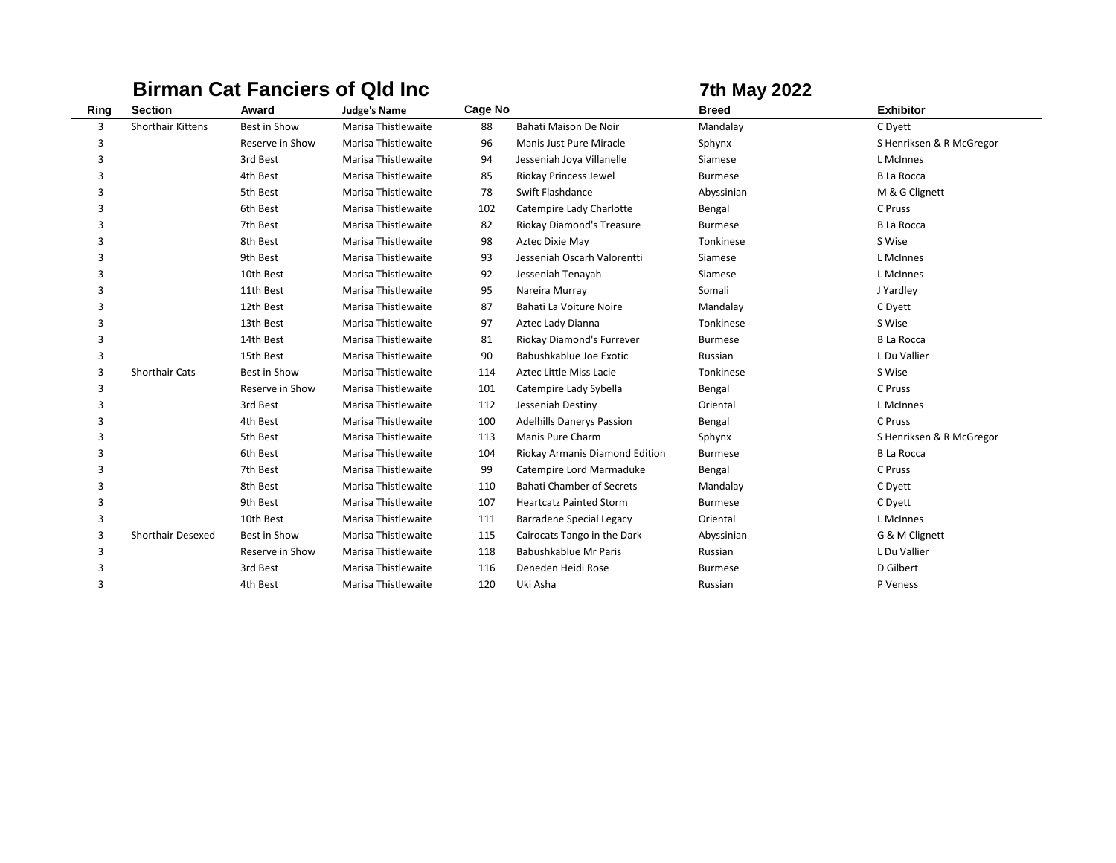# **Birman Cat Fanciers of Qld Inc <b>7th May 2022**

| Ring | <b>Section</b>           | Award           | <b>Judge's Name</b> | Cage No |                                  | <b>Breed</b>   | <b>Exhibitor</b>         |
|------|--------------------------|-----------------|---------------------|---------|----------------------------------|----------------|--------------------------|
| 3    | <b>Shorthair Kittens</b> | Best in Show    | Marisa Thistlewaite | 88      | Bahati Maison De Noir            | Mandalay       | C Dyett                  |
| 3    |                          | Reserve in Show | Marisa Thistlewaite | 96      | Manis Just Pure Miracle          | Sphynx         | S Henriksen & R McGregor |
| 3    |                          | 3rd Best        | Marisa Thistlewaite | 94      | Jesseniah Joya Villanelle        | Siamese        | L McInnes                |
| 3    |                          | 4th Best        | Marisa Thistlewaite | 85      | Riokay Princess Jewel            | <b>Burmese</b> | <b>B La Rocca</b>        |
| 3    |                          | 5th Best        | Marisa Thistlewaite | 78      | Swift Flashdance                 | Abyssinian     | M & G Clignett           |
| 3    |                          | 6th Best        | Marisa Thistlewaite | 102     | Catempire Lady Charlotte         | Bengal         | C Pruss                  |
| 3    |                          | 7th Best        | Marisa Thistlewaite | 82      | Riokay Diamond's Treasure        | <b>Burmese</b> | <b>B La Rocca</b>        |
| 3    |                          | 8th Best        | Marisa Thistlewaite | 98      | Aztec Dixie May                  | Tonkinese      | S Wise                   |
| 3    |                          | 9th Best        | Marisa Thistlewaite | 93      | Jesseniah Oscarh Valorentti      | Siamese        | L McInnes                |
| 3    |                          | 10th Best       | Marisa Thistlewaite | 92      | Jesseniah Tenayah                | Siamese        | L McInnes                |
| 3    |                          | 11th Best       | Marisa Thistlewaite | 95      | Nareira Murray                   | Somali         | J Yardley                |
| 3    |                          | 12th Best       | Marisa Thistlewaite | 87      | Bahati La Voiture Noire          | Mandalay       | C Dyett                  |
| 3    |                          | 13th Best       | Marisa Thistlewaite | 97      | Aztec Lady Dianna                | Tonkinese      | S Wise                   |
| 3    |                          | 14th Best       | Marisa Thistlewaite | 81      | Riokay Diamond's Furrever        | <b>Burmese</b> | <b>B La Rocca</b>        |
| 3    |                          | 15th Best       | Marisa Thistlewaite | 90      | Babushkablue Joe Exotic          | Russian        | L Du Vallier             |
| 3    | <b>Shorthair Cats</b>    | Best in Show    | Marisa Thistlewaite | 114     | <b>Aztec Little Miss Lacie</b>   | Tonkinese      | S Wise                   |
| 3    |                          | Reserve in Show | Marisa Thistlewaite | 101     | Catempire Lady Sybella           | Bengal         | C Pruss                  |
| 3    |                          | 3rd Best        | Marisa Thistlewaite | 112     | Jesseniah Destiny                | Oriental       | L McInnes                |
| 3    |                          | 4th Best        | Marisa Thistlewaite | 100     | <b>Adelhills Danerys Passion</b> | Bengal         | C Pruss                  |
| 3    |                          | 5th Best        | Marisa Thistlewaite | 113     | Manis Pure Charm                 | Sphynx         | S Henriksen & R McGregor |
| 3    |                          | 6th Best        | Marisa Thistlewaite | 104     | Riokay Armanis Diamond Edition   | <b>Burmese</b> | <b>B La Rocca</b>        |
| 3    |                          | 7th Best        | Marisa Thistlewaite | 99      | Catempire Lord Marmaduke         | Bengal         | C Pruss                  |
| 3    |                          | 8th Best        | Marisa Thistlewaite | 110     | <b>Bahati Chamber of Secrets</b> | Mandalay       | C Dyett                  |
| 3    |                          | 9th Best        | Marisa Thistlewaite | 107     | <b>Heartcatz Painted Storm</b>   | <b>Burmese</b> | C Dyett                  |
| 3    |                          | 10th Best       | Marisa Thistlewaite | 111     | <b>Barradene Special Legacy</b>  | Oriental       | L McInnes                |
| 3    | Shorthair Desexed        | Best in Show    | Marisa Thistlewaite | 115     | Cairocats Tango in the Dark      | Abyssinian     | G & M Clignett           |
| 3    |                          | Reserve in Show | Marisa Thistlewaite | 118     | Babushkablue Mr Paris            | Russian        | L Du Vallier             |
| 3    |                          | 3rd Best        | Marisa Thistlewaite | 116     | Deneden Heidi Rose               | <b>Burmese</b> | D Gilbert                |
| 3    |                          | 4th Best        | Marisa Thistlewaite | 120     | Uki Asha                         | Russian        | P Veness                 |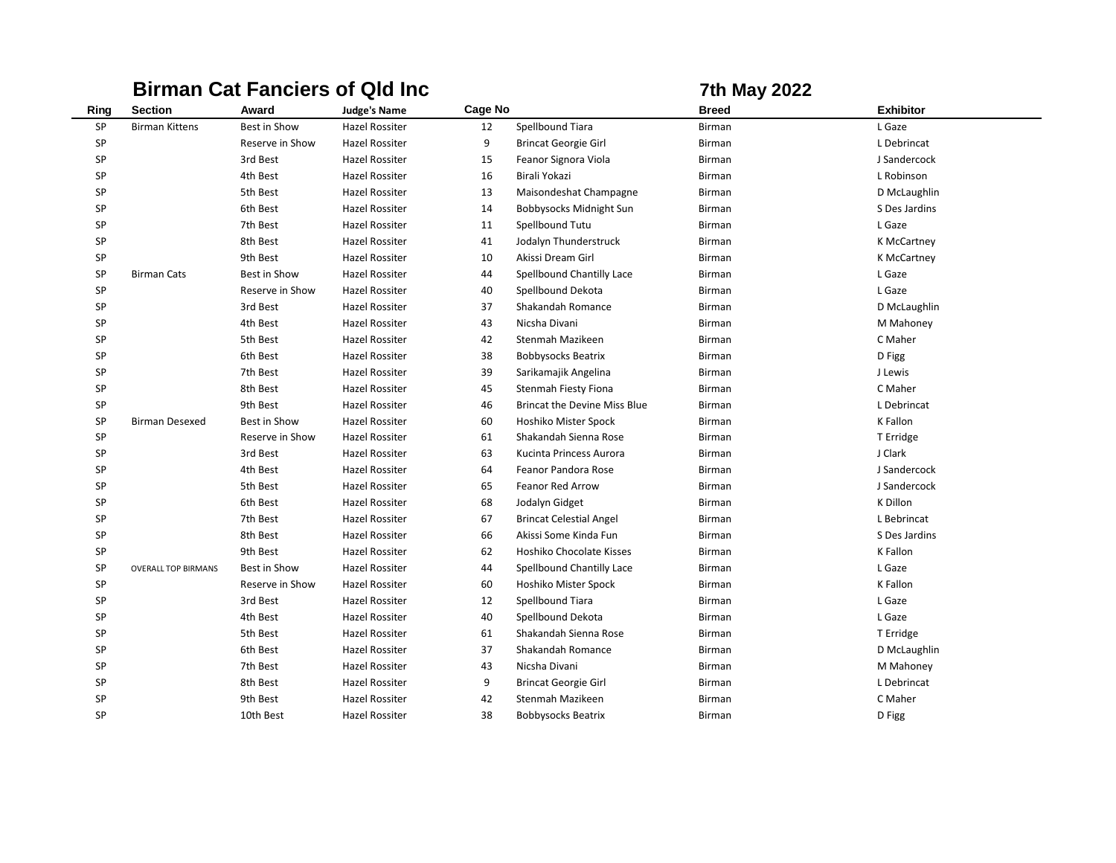# **Birman Cat Fanciers of Qld Inc <b>7th May 2022**

| Ring | <b>Section</b>             | Award           | <b>Judge's Name</b>   | Cage No |                                     | <b>Breed</b> | <b>Exhibitor</b> |
|------|----------------------------|-----------------|-----------------------|---------|-------------------------------------|--------------|------------------|
| SP   | <b>Birman Kittens</b>      | Best in Show    | Hazel Rossiter        | 12      | Spellbound Tiara                    | Birman       | L Gaze           |
| SP   |                            | Reserve in Show | <b>Hazel Rossiter</b> | 9       | <b>Brincat Georgie Girl</b>         | Birman       | L Debrincat      |
| SP   |                            | 3rd Best        | <b>Hazel Rossiter</b> | 15      | Feanor Signora Viola                | Birman       | J Sandercock     |
| SP   |                            | 4th Best        | Hazel Rossiter        | 16      | Birali Yokazi                       | Birman       | L Robinson       |
| SP   |                            | 5th Best        | Hazel Rossiter        | 13      | Maisondeshat Champagne              | Birman       | D McLaughlin     |
| SP   |                            | 6th Best        | Hazel Rossiter        | 14      | Bobbysocks Midnight Sun             | Birman       | S Des Jardins    |
| SP   |                            | 7th Best        | <b>Hazel Rossiter</b> | 11      | Spellbound Tutu                     | Birman       | L Gaze           |
| SP   |                            | 8th Best        | <b>Hazel Rossiter</b> | 41      | Jodalyn Thunderstruck               | Birman       | K McCartney      |
| SP   |                            | 9th Best        | <b>Hazel Rossiter</b> | 10      | Akissi Dream Girl                   | Birman       | K McCartney      |
| SP   | <b>Birman Cats</b>         | Best in Show    | Hazel Rossiter        | 44      | Spellbound Chantilly Lace           | Birman       | L Gaze           |
| SP   |                            | Reserve in Show | Hazel Rossiter        | 40      | Spellbound Dekota                   | Birman       | L Gaze           |
| SP   |                            | 3rd Best        | Hazel Rossiter        | 37      | Shakandah Romance                   | Birman       | D McLaughlin     |
| SP   |                            | 4th Best        | Hazel Rossiter        | 43      | Nicsha Divani                       | Birman       | M Mahoney        |
| SP   |                            | 5th Best        | <b>Hazel Rossiter</b> | 42      | Stenmah Mazikeen                    | Birman       | C Maher          |
| SP   |                            | 6th Best        | <b>Hazel Rossiter</b> | 38      | <b>Bobbysocks Beatrix</b>           | Birman       | D Figg           |
| SP   |                            | 7th Best        | <b>Hazel Rossiter</b> | 39      | Sarikamajik Angelina                | Birman       | J Lewis          |
| SP   |                            | 8th Best        | <b>Hazel Rossiter</b> | 45      | Stenmah Fiesty Fiona                | Birman       | C Maher          |
| SP   |                            | 9th Best        | <b>Hazel Rossiter</b> | 46      | <b>Brincat the Devine Miss Blue</b> | Birman       | L Debrincat      |
| SP   | <b>Birman Desexed</b>      | Best in Show    | Hazel Rossiter        | 60      | Hoshiko Mister Spock                | Birman       | K Fallon         |
| SP   |                            | Reserve in Show | Hazel Rossiter        | 61      | Shakandah Sienna Rose               | Birman       | T Erridge        |
| SP   |                            | 3rd Best        | Hazel Rossiter        | 63      | Kucinta Princess Aurora             | Birman       | J Clark          |
| SP   |                            | 4th Best        | Hazel Rossiter        | 64      | Feanor Pandora Rose                 | Birman       | J Sandercock     |
| SP   |                            | 5th Best        | Hazel Rossiter        | 65      | <b>Feanor Red Arrow</b>             | Birman       | J Sandercock     |
| SP   |                            | 6th Best        | <b>Hazel Rossiter</b> | 68      | Jodalyn Gidget                      | Birman       | K Dillon         |
| SP   |                            | 7th Best        | Hazel Rossiter        | 67      | <b>Brincat Celestial Angel</b>      | Birman       | L Bebrincat      |
| SP   |                            | 8th Best        | Hazel Rossiter        | 66      | Akissi Some Kinda Fun               | Birman       | S Des Jardins    |
| SP   |                            | 9th Best        | Hazel Rossiter        | 62      | Hoshiko Chocolate Kisses            | Birman       | K Fallon         |
| SP   | <b>OVERALL TOP BIRMANS</b> | Best in Show    | Hazel Rossiter        | 44      | Spellbound Chantilly Lace           | Birman       | L Gaze           |
| SP   |                            | Reserve in Show | Hazel Rossiter        | 60      | Hoshiko Mister Spock                | Birman       | K Fallon         |
| SP   |                            | 3rd Best        | <b>Hazel Rossiter</b> | 12      | Spellbound Tiara                    | Birman       | L Gaze           |
| SP   |                            | 4th Best        | Hazel Rossiter        | 40      | Spellbound Dekota                   | Birman       | L Gaze           |
| SP   |                            | 5th Best        | <b>Hazel Rossiter</b> | 61      | Shakandah Sienna Rose               | Birman       | T Erridge        |
| SP   |                            | 6th Best        | Hazel Rossiter        | 37      | Shakandah Romance                   | Birman       | D McLaughlin     |
| SP   |                            | 7th Best        | <b>Hazel Rossiter</b> | 43      | Nicsha Divani                       | Birman       | M Mahoney        |
| SP   |                            | 8th Best        | Hazel Rossiter        | 9       | <b>Brincat Georgie Girl</b>         | Birman       | L Debrincat      |
| SP   |                            | 9th Best        | Hazel Rossiter        | 42      | Stenmah Mazikeen                    | Birman       | C Maher          |
| SP   |                            | 10th Best       | Hazel Rossiter        | 38      | <b>Bobbysocks Beatrix</b>           | Birman       | D Figg           |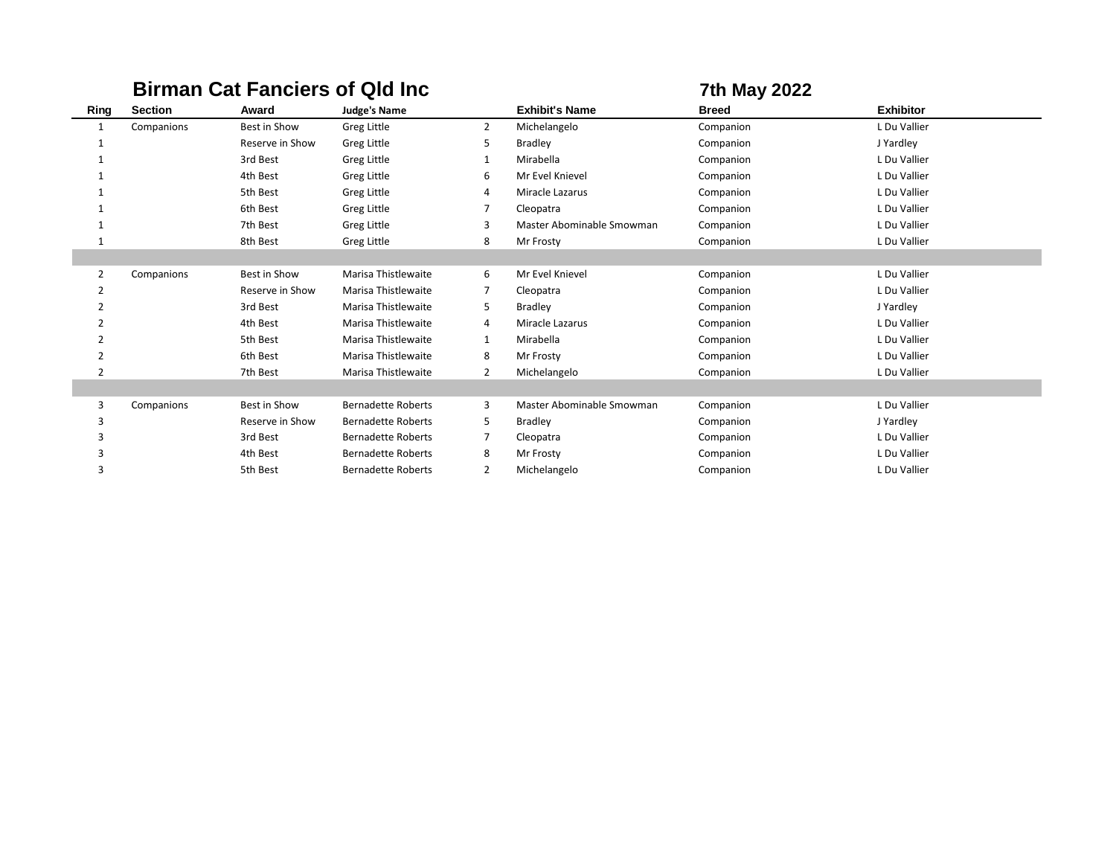|                |                |                 | <b>Birman Cat Fanciers of Qld Inc.</b> |                |                           | <b>7th May 2022</b> |                  |
|----------------|----------------|-----------------|----------------------------------------|----------------|---------------------------|---------------------|------------------|
| Ring           | <b>Section</b> | Award           | <b>Judge's Name</b>                    |                | <b>Exhibit's Name</b>     | <b>Breed</b>        | <b>Exhibitor</b> |
| $\mathbf{1}$   | Companions     | Best in Show    | <b>Greg Little</b>                     | $\overline{2}$ | Michelangelo              | Companion           | L Du Vallier     |
|                |                | Reserve in Show | Greg Little                            | 5              | <b>Bradley</b>            | Companion           | J Yardley        |
|                |                | 3rd Best        | <b>Greg Little</b>                     | $\mathbf{1}$   | Mirabella                 | Companion           | L Du Vallier     |
|                |                | 4th Best        | Greg Little                            | 6              | Mr Evel Knievel           | Companion           | L Du Vallier     |
|                |                | 5th Best        | Greg Little                            | 4              | Miracle Lazarus           | Companion           | L Du Vallier     |
|                |                | 6th Best        | Greg Little                            | $\overline{7}$ | Cleopatra                 | Companion           | L Du Vallier     |
|                |                | 7th Best        | Greg Little                            | 3              | Master Abominable Smowman | Companion           | L Du Vallier     |
|                |                | 8th Best        | Greg Little                            | 8              | Mr Frosty                 | Companion           | L Du Vallier     |
|                |                |                 |                                        |                |                           |                     |                  |
| 2              | Companions     | Best in Show    | Marisa Thistlewaite                    | 6              | Mr Evel Knievel           | Companion           | L Du Vallier     |
| 2              |                | Reserve in Show | Marisa Thistlewaite                    | 7              | Cleopatra                 | Companion           | L Du Vallier     |
| 2              |                | 3rd Best        | Marisa Thistlewaite                    | 5              | <b>Bradley</b>            | Companion           | J Yardley        |
| 2              |                | 4th Best        | Marisa Thistlewaite                    | 4              | Miracle Lazarus           | Companion           | L Du Vallier     |
| $\overline{2}$ |                | 5th Best        | Marisa Thistlewaite                    | $\mathbf{1}$   | Mirabella                 | Companion           | L Du Vallier     |
| $\overline{2}$ |                | 6th Best        | Marisa Thistlewaite                    | 8              | Mr Frosty                 | Companion           | L Du Vallier     |
| $\overline{2}$ |                | 7th Best        | Marisa Thistlewaite                    | $\overline{2}$ | Michelangelo              | Companion           | L Du Vallier     |
|                |                |                 |                                        |                |                           |                     |                  |
| 3              | Companions     | Best in Show    | <b>Bernadette Roberts</b>              | 3              | Master Abominable Smowman | Companion           | L Du Vallier     |
| 3              |                | Reserve in Show | <b>Bernadette Roberts</b>              | 5              | <b>Bradley</b>            | Companion           | J Yardley        |
| 3              |                | 3rd Best        | <b>Bernadette Roberts</b>              | $\overline{7}$ | Cleopatra                 | Companion           | L Du Vallier     |
|                |                | 4th Best        | <b>Bernadette Roberts</b>              | 8              | Mr Frosty                 | Companion           | L Du Vallier     |
| 3              |                | 5th Best        | <b>Bernadette Roberts</b>              | 2              | Michelangelo              | Companion           | L Du Vallier     |